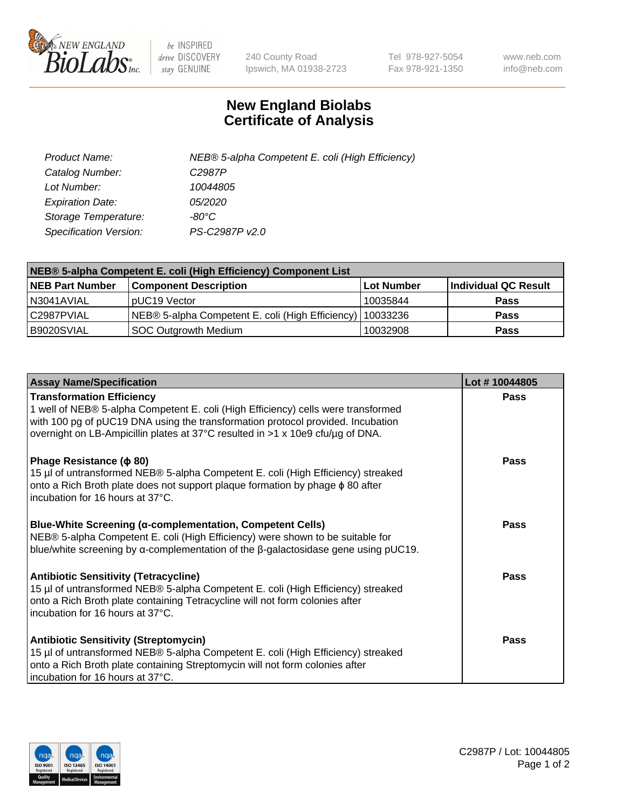

 $be$  INSPIRED drive DISCOVERY stay GENUINE

240 County Road Ipswich, MA 01938-2723 Tel 978-927-5054 Fax 978-921-1350 www.neb.com info@neb.com

## **New England Biolabs Certificate of Analysis**

| Product Name:           | NEB® 5-alpha Competent E. coli (High Efficiency) |
|-------------------------|--------------------------------------------------|
| Catalog Number:         | C <sub>2987</sub> P                              |
| Lot Number:             | 10044805                                         |
| <b>Expiration Date:</b> | <i>05/2020</i>                                   |
| Storage Temperature:    | -80°C                                            |
| Specification Version:  | PS-C2987P v2.0                                   |

| NEB® 5-alpha Competent E. coli (High Efficiency) Component List |                                                  |            |                      |  |
|-----------------------------------------------------------------|--------------------------------------------------|------------|----------------------|--|
| <b>NEB Part Number</b>                                          | <b>Component Description</b>                     | Lot Number | Individual QC Result |  |
| N3041AVIAL                                                      | pUC19 Vector                                     | 10035844   | <b>Pass</b>          |  |
| C2987PVIAL                                                      | NEB® 5-alpha Competent E. coli (High Efficiency) | 10033236   | <b>Pass</b>          |  |
| B9020SVIAL                                                      | <b>SOC Outgrowth Medium</b>                      | 10032908   | <b>Pass</b>          |  |

| <b>Assay Name/Specification</b>                                                                                                                                                                                                                                                            | Lot #10044805 |
|--------------------------------------------------------------------------------------------------------------------------------------------------------------------------------------------------------------------------------------------------------------------------------------------|---------------|
| <b>Transformation Efficiency</b><br>1 well of NEB® 5-alpha Competent E. coli (High Efficiency) cells were transformed<br>with 100 pg of pUC19 DNA using the transformation protocol provided. Incubation<br>overnight on LB-Ampicillin plates at 37°C resulted in >1 x 10e9 cfu/µg of DNA. | <b>Pass</b>   |
| Phage Resistance ( $\phi$ 80)<br>15 µl of untransformed NEB® 5-alpha Competent E. coli (High Efficiency) streaked<br>onto a Rich Broth plate does not support plaque formation by phage $\phi$ 80 after<br>incubation for 16 hours at 37°C.                                                | Pass          |
| <b>Blue-White Screening (α-complementation, Competent Cells)</b><br>NEB® 5-alpha Competent E. coli (High Efficiency) were shown to be suitable for<br>blue/white screening by $\alpha$ -complementation of the $\beta$ -galactosidase gene using pUC19.                                    | Pass          |
| Antibiotic Sensitivity (Tetracycline)<br>15 µl of untransformed NEB® 5-alpha Competent E. coli (High Efficiency) streaked<br>onto a Rich Broth plate containing Tetracycline will not form colonies after<br>incubation for 16 hours at 37°C.                                              | Pass          |
| <b>Antibiotic Sensitivity (Streptomycin)</b><br>15 µl of untransformed NEB® 5-alpha Competent E. coli (High Efficiency) streaked<br>onto a Rich Broth plate containing Streptomycin will not form colonies after<br>incubation for 16 hours at 37°C.                                       | Pass          |